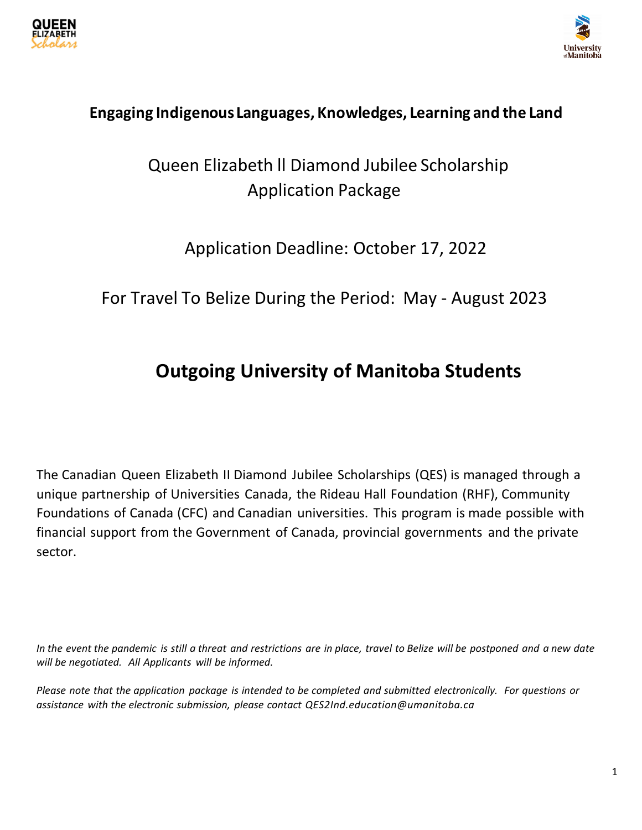



# **Engaging Indigenous Languages, Knowledges, Learning and the Land**

# Queen Elizabeth ll Diamond Jubilee Scholarship Application Package

# Application Deadline: October 17, 2022

# For Travel To Belize During the Period: May - August 2023

# **Outgoing University of Manitoba Students**

The Canadian Queen Elizabeth II Diamond Jubilee Scholarships (QES) is managed through a unique partnership of Universities Canada, the Rideau Hall Foundation (RHF), Community Foundations of Canada (CFC) and Canadian universities. This program is made possible with financial support from the Government of Canada, provincial governments and the private sector.

*In the event the pandemic is still a threat and restrictions are in place, travel to Belize will be postponed and a new date will be negotiated. All Applicants will be informed.* 

*Please note that the application package is intended to be completed and submitted electronically. For questions or assistance with the electronic submission, please contact [QES2Ind.education@umanitoba.ca](mailto:qes2IND@umanitoba.ca)*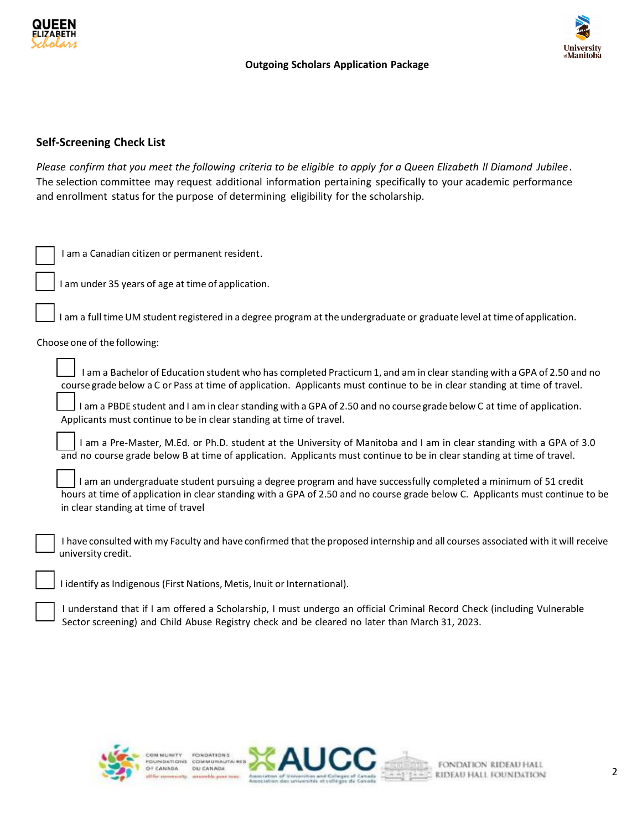



## **Self-Screening Check List**

*Please confirm that you meet the following criteria to be eligible to apply for a Queen Elizabeth ll Diamond Jubilee .* The selection committee may request additional information pertaining specifically to your academic performance and enrollment status for the purpose of determining eligibility for the scholarship.

| I am a Canadian citizen or permanent resident.                                                                                                                                                                                                                                         |
|----------------------------------------------------------------------------------------------------------------------------------------------------------------------------------------------------------------------------------------------------------------------------------------|
| I am under 35 years of age at time of application.                                                                                                                                                                                                                                     |
| am a full time UM student registered in a degree program at the undergraduate or graduate level at time of application.                                                                                                                                                                |
| Choose one of the following:                                                                                                                                                                                                                                                           |
| I am a Bachelor of Education student who has completed Practicum 1, and am in clear standing with a GPA of 2.50 and no<br>course grade below a C or Pass at time of application. Applicants must continue to be in clear standing at time of travel.                                   |
| I am a PBDE student and I am in clear standing with a GPA of 2.50 and no course grade below C at time of application.<br>Applicants must continue to be in clear standing at time of travel.                                                                                           |
| I am a Pre-Master, M.Ed. or Ph.D. student at the University of Manitoba and I am in clear standing with a GPA of 3.0<br>and no course grade below B at time of application. Applicants must continue to be in clear standing at time of travel.                                        |
| I am an undergraduate student pursuing a degree program and have successfully completed a minimum of 51 credit<br>hours at time of application in clear standing with a GPA of 2.50 and no course grade below C. Applicants must continue to be<br>in clear standing at time of travel |
| I have consulted with my Faculty and have confirmed that the proposed internship and all courses associated with it will receive<br>university credit.                                                                                                                                 |
| I identify as Indigenous (First Nations, Metis, Inuit or International).                                                                                                                                                                                                               |
| included that if I am affaired a Calculation I mine include an affaire Calculate Beaud Chael, Italiae Milleaugh                                                                                                                                                                        |

I understand that if I am offered a Scholarship, I must undergo an official Criminal Record Check (including Vulnerable Sector screening) and Child Abuse Registry check and be cleared no later than March 31, 2023.



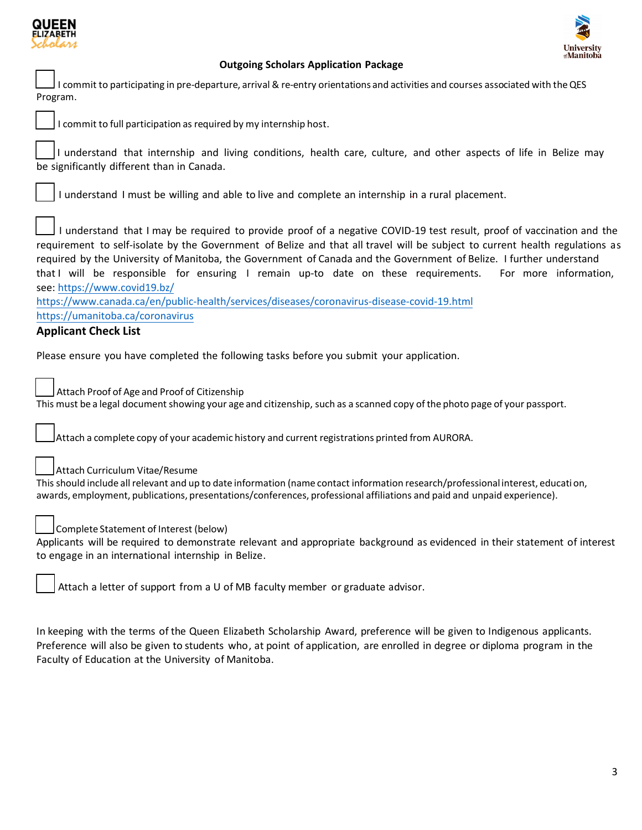



I commit to participating in pre-departure, arrival & re-entry orientations and activities and courses associated with the QES Program.



I commit to full participation as required by my internship host.

I understand that internship and living conditions, health care, culture, and other aspects of life in Belize may be significantly different than in Canada.

I understand I must be willing and able to live and complete an internship in a rural placement.

I understand that I may be required to provide proof of a negative COVID-19 test result, proof of vaccination and the requirement to self-isolate by the Government of Belize and that all travel will be subject to current health regulations as required by the University of Manitoba, the Government of Canada and the Government of Belize. I further understand that I will be responsible for ensuring I remain up-to date on these requirements. For more information, see: [https://www.covid19.](https://www.covid19.bz/)bz/

<https://www.canada.ca/en/public-health/services/diseases/coronavirus-disease-covid-19.html> <https://umanitoba.ca/coronavirus>

# **Applicant Check List**

Please ensure you have completed the following tasks before you submit your application.

Attach Proof of Age and Proof of Citizenship This must be a legal document showing your age and citizenship, such as a scanned copy of the photo page of your passport.

Attach a complete copy of your academic history and current registrations printed from AURORA.

Attach Curriculum Vitae/Resume

This should include all relevant and up to date information (name contact information research/professional interest, education, awards, employment, publications, presentations/conferences, professional affiliations and paid and unpaid experience).



Complete Statement of Interest (below)

Applicants will be required to demonstrate relevant and appropriate background as evidenced in their statement of interest to engage in an international internship in Belize.

Attach a letter of support from a U of MB faculty member or graduate advisor.

In keeping with the terms of the Queen Elizabeth Scholarship Award, preference will be given to Indigenous applicants. Preference will also be given to students who, at point of application, are enrolled in degree or diploma program in the Faculty of Education at the University of Manitoba.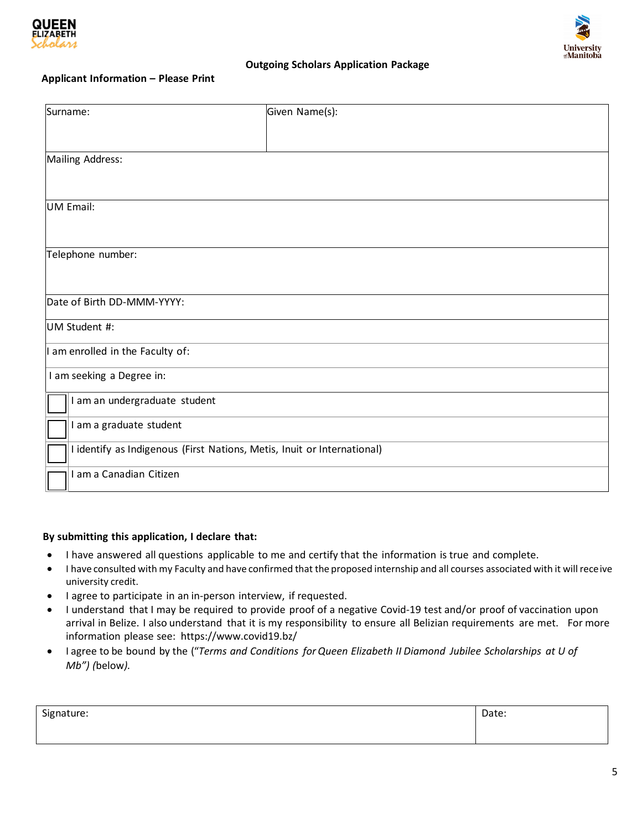



#### **Applicant Information – Please Print**

| Surname:                                                                | Given Name(s): |
|-------------------------------------------------------------------------|----------------|
|                                                                         |                |
| Mailing Address:                                                        |                |
|                                                                         |                |
| <b>UM Email:</b>                                                        |                |
|                                                                         |                |
| Telephone number:                                                       |                |
|                                                                         |                |
| Date of Birth DD-MMM-YYYY:                                              |                |
| UM Student #:                                                           |                |
| I am enrolled in the Faculty of:                                        |                |
| I am seeking a Degree in:                                               |                |
| I am an undergraduate student                                           |                |
| I am a graduate student                                                 |                |
| I identify as Indigenous (First Nations, Metis, Inuit or International) |                |
| I am a Canadian Citizen                                                 |                |

#### **By submitting this application, I declare that:**

- I have answered all questions applicable to me and certify that the information is true and complete.
- I have consulted with my Faculty and have confirmed that the proposed internship and all courses associated with it will receive university credit.
- I agree to participate in an in-person interview, if requested.
- I understand that I may be required to provide proof of a negative Covid-19 test and/or proof of vaccination upon arrival in Belize. I also understand that it is my responsibility to ensure all Belizian requirements are met. For more information please see: https://www.covid19.bz/
- I agree to be bound by the ("*Terms and Conditions for Queen Elizabeth II Diamond Jubilee Scholarships at U of Mb") (*below*).*

| Signature: | ∴^ם†בר<br>Date: |
|------------|-----------------|
|            |                 |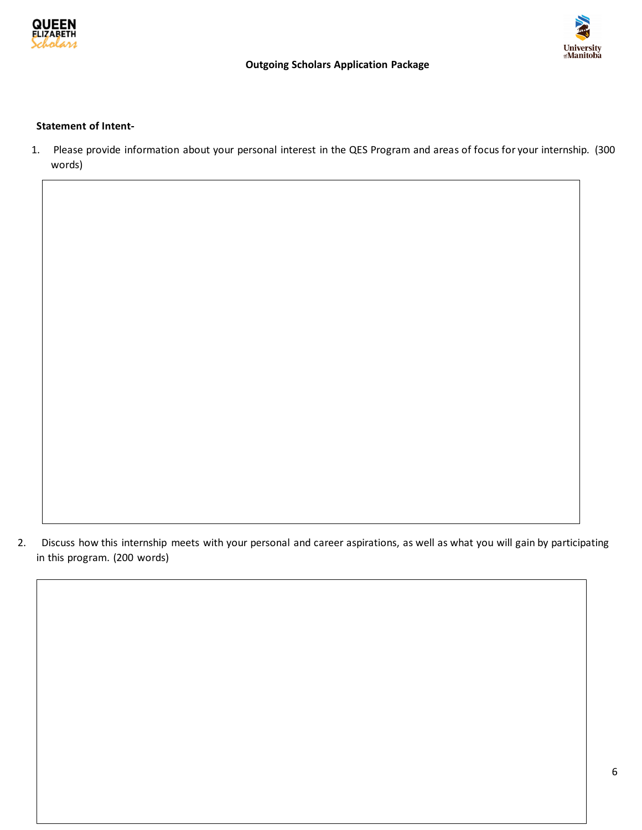

# **University**<br>@Manitoba

# **Outgoing Scholars Application Package**

#### **Statement of Intent-**

1. Please provide information about your personal interest in the QES Program and areas of focus for your internship. (300 words)

2. Discuss how this internship meets with your personal and career aspirations, as well as what you will gain by participating in this program. (200 words)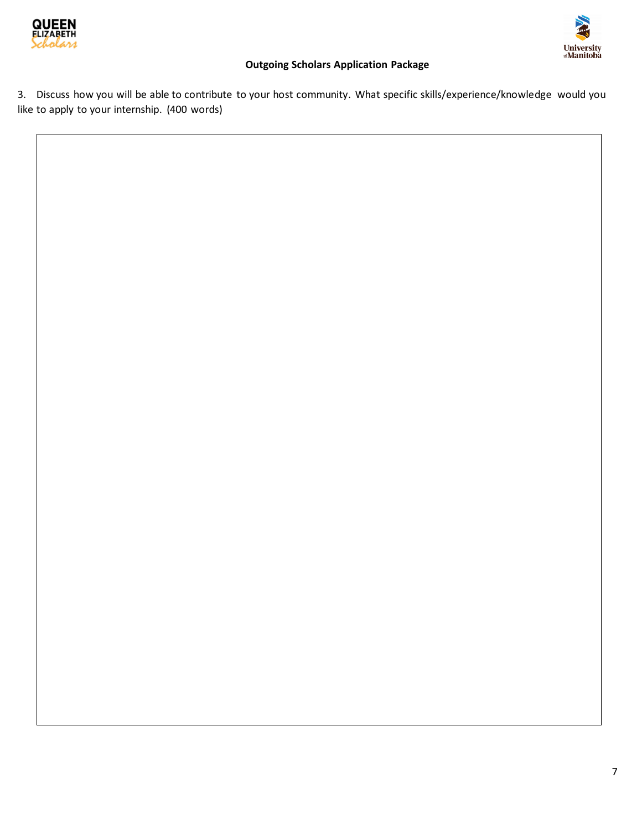



3. Discuss how you will be able to contribute to your host community. What specific skills/experience/knowledge would you like to apply to your internship. (400 words)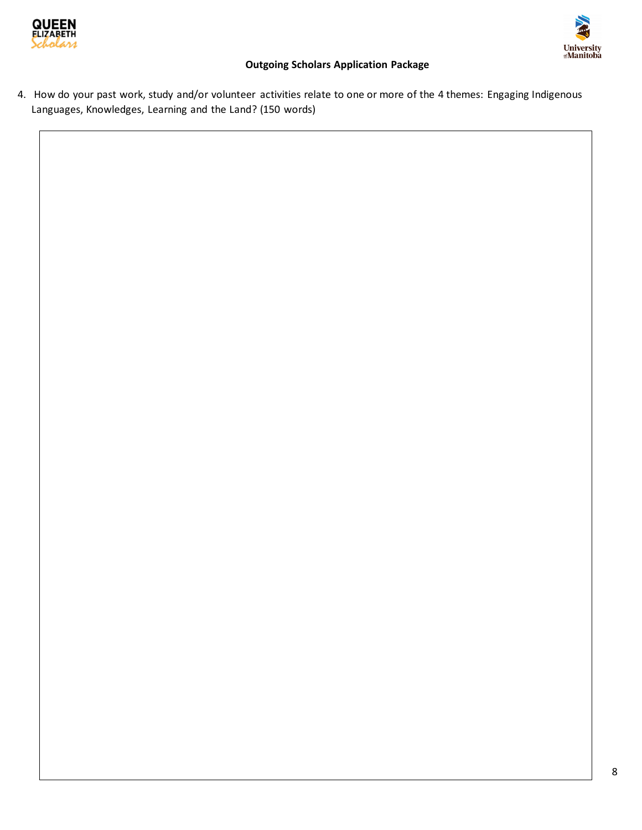



4. How do your past work, study and/or volunteer activities relate to one or more of the 4 themes: Engaging Indigenous Languages, Knowledges, Learning and the Land? (150 words)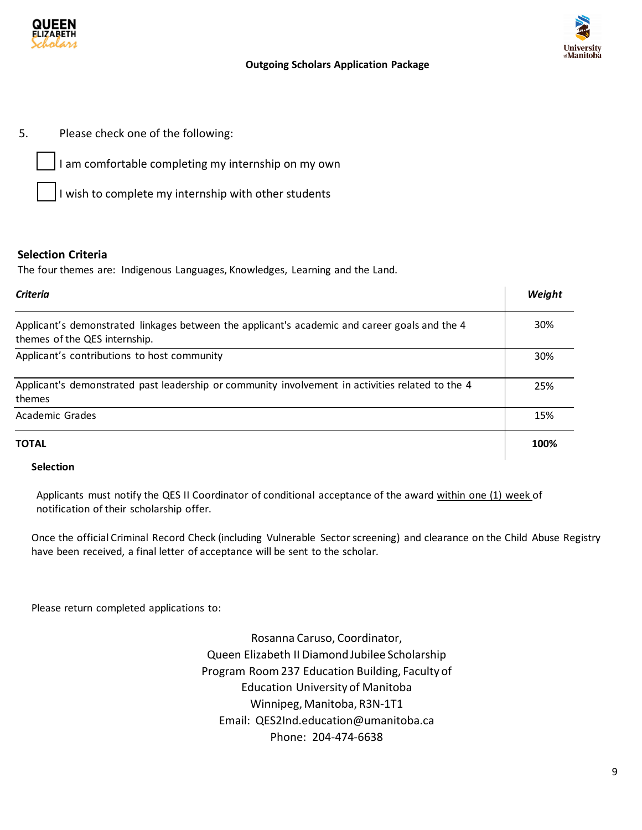



5. Please check one of the following:

I am comfortable completing my internship on my own

I wish to complete my internship with other students

# **Selection Criteria**

The four themes are: Indigenous Languages, Knowledges, Learning and the Land.

| Criteria                                                                                                                       | Weight |
|--------------------------------------------------------------------------------------------------------------------------------|--------|
| Applicant's demonstrated linkages between the applicant's academic and career goals and the 4<br>themes of the QES internship. | 30%    |
| Applicant's contributions to host community                                                                                    | 30%    |
| Applicant's demonstrated past leadership or community involvement in activities related to the 4<br>themes                     | 25%    |
| Academic Grades                                                                                                                | 15%    |
| ΤΟΤΑL                                                                                                                          | 100%   |

# **Selection**

Applicants must notify the QES II Coordinator of conditional acceptance of the award within one (1) week of notification of their scholarship offer.

Once the official Criminal Record Check (including Vulnerable Sector screening) and clearance on the Child Abuse Registry have been received, a final letter of acceptance will be sent to the scholar.

Please return completed applications to:

Rosanna Caruso, Coordinator, Queen Elizabeth II Diamond Jubilee Scholarship Program Room 237 Education Building, Faculty of Education University of Manitoba Winnipeg, Manitoba, R3N-1T1 Email: QES2Ind.education@umanitoba.ca Phone: 204-474-6638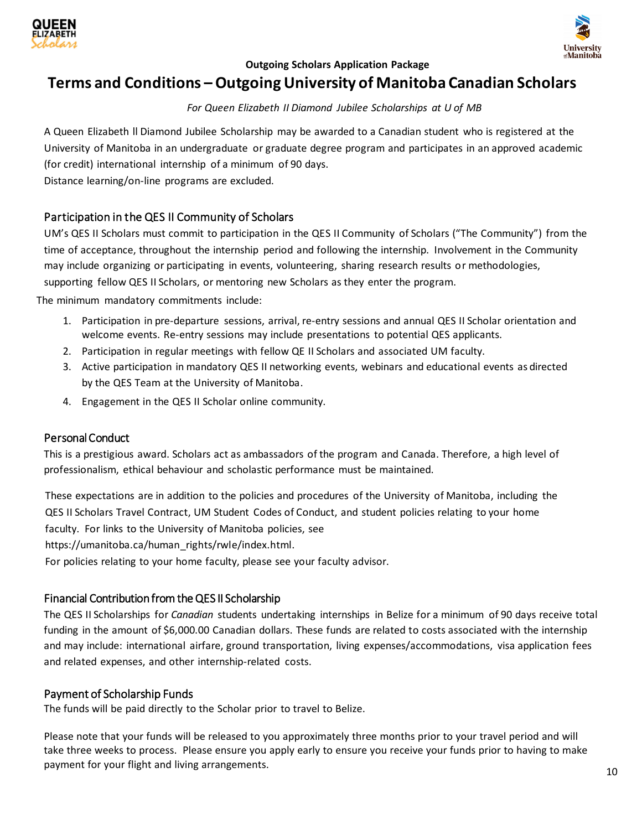



# **Terms and Conditions –Outgoing University of Manitoba Canadian Scholars**

#### *For Queen Elizabeth II Diamond Jubilee Scholarships at U of MB*

A Queen Elizabeth ll Diamond Jubilee Scholarship may be awarded to a Canadian student who is registered at the University of Manitoba in an undergraduate or graduate degree program and participates in an approved academic (for credit) international internship of a minimum of 90 days.

Distance learning/on-line programs are excluded.

# Participation in the QES II Community of Scholars

UM's QES II Scholars must commit to participation in the QES II Community of Scholars ("The Community") from the time of acceptance, throughout the internship period and following the internship. Involvement in the Community may include organizing or participating in events, volunteering, sharing research results or methodologies, supporting fellow QES II Scholars, or mentoring new Scholars as they enter the program.

The minimum mandatory commitments include:

- 1. Participation in pre-departure sessions, arrival, re-entry sessions and annual QES II Scholar orientation and welcome events. Re-entry sessions may include presentations to potential QES applicants.
- 2. Participation in regular meetings with fellow QE II Scholars and associated UM faculty.
- 3. Active participation in mandatory QES II networking events, webinars and educational events as directed by the QES Team at the University of Manitoba.
- 4. Engagement in the QES II Scholar online community.

## Personal Conduct

This is a prestigious award. Scholars act as ambassadors of the program and Canada. Therefore, a high level of professionalism, ethical behaviour and scholastic performance must be maintained.

These expectations are in addition to the policies and procedures of the University of Manitoba, including the QES II Scholars Travel Contract, UM Student Codes of Conduct, and student policies relating to your home faculty. For links to the University of Manitoba policies, see

https://umanitoba.ca/human\_rights/rwle/index.html.

For policies relating to your home faculty, please see your faculty advisor.

## Financial Contribution from the QES II Scholarship

The QES II Scholarships for *Canadian* students undertaking internships in Belize for a minimum of 90 days receive total funding in the amount of \$6,000.00 Canadian dollars. These funds are related to costs associated with the internship and may include: international airfare, ground transportation, living expenses/accommodations, visa application fees and related expenses, and other internship-related costs.

## Payment of Scholarship Funds

The funds will be paid directly to the Scholar prior to travel to Belize.

Please note that your funds will be released to you approximately three months prior to your travel period and will take three weeks to process. Please ensure you apply early to ensure you receive your funds prior to having to make payment for your flight and living arrangements.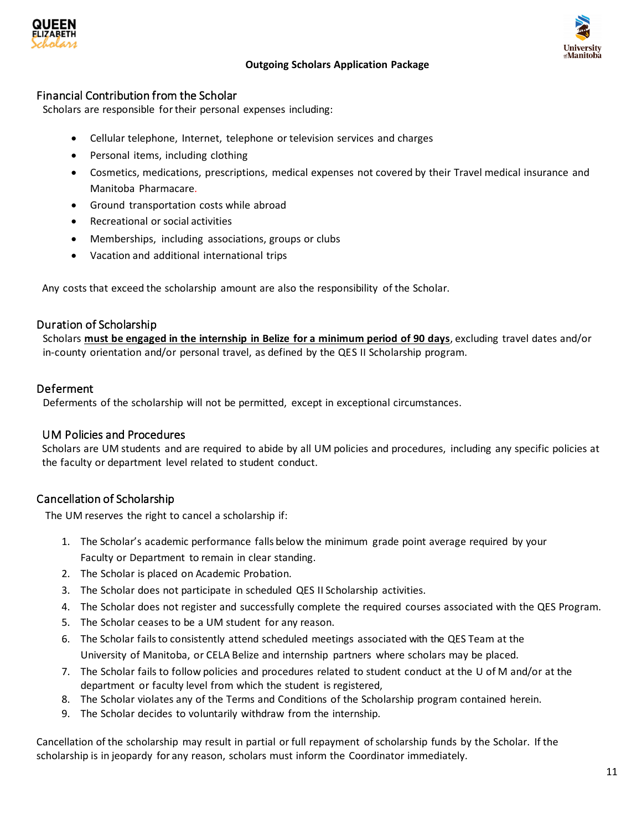



# Financial Contribution from the Scholar

Scholars are responsible for their personal expenses including:

- Cellular telephone, Internet, telephone or television services and charges
- Personal items, including clothing
- Cosmetics, medications, prescriptions, medical expenses not covered by their Travel medical insurance and Manitoba Pharmacare.
- Ground transportation costs while abroad
- Recreational or social activities
- Memberships, including associations, groups or clubs
- Vacation and additional international trips

Any costs that exceed the scholarship amount are also the responsibility of the Scholar.

# Duration of Scholarship

Scholars **must be engaged in the internship in Belize for a minimum period of 90 days**, excluding travel dates and/or in-county orientation and/or personal travel, as defined by the QES II Scholarship program.

# Deferment

Deferments of the scholarship will not be permitted, except in exceptional circumstances.

# UM Policies and Procedures

Scholars are UM students and are required to abide by all UM policies and procedures, including any specific policies at the faculty or department level related to student conduct.

# Cancellation of Scholarship

The UM reserves the right to cancel a scholarship if:

- 1. The Scholar's academic performance falls below the minimum grade point average required by your Faculty or Department to remain in clear standing.
- 2. The Scholar is placed on Academic Probation.
- 3. The Scholar does not participate in scheduled QES II Scholarship activities.
- 4. The Scholar does not register and successfully complete the required courses associated with the QES Program.
- 5. The Scholar ceases to be a UM student for any reason.
- 6. The Scholar failsto consistently attend scheduled meetings associated with the QES Team at the University of Manitoba, or CELA Belize and internship partners where scholars may be placed.
- 7. The Scholar fails to follow policies and procedures related to student conduct at the U of M and/or at the department or faculty level from which the student is registered,
- 8. The Scholar violates any of the Terms and Conditions of the Scholarship program contained herein.
- 9. The Scholar decides to voluntarily withdraw from the internship.

Cancellation of the scholarship may result in partial or full repayment of scholarship funds by the Scholar. If the scholarship is in jeopardy for any reason, scholars must inform the Coordinator immediately.